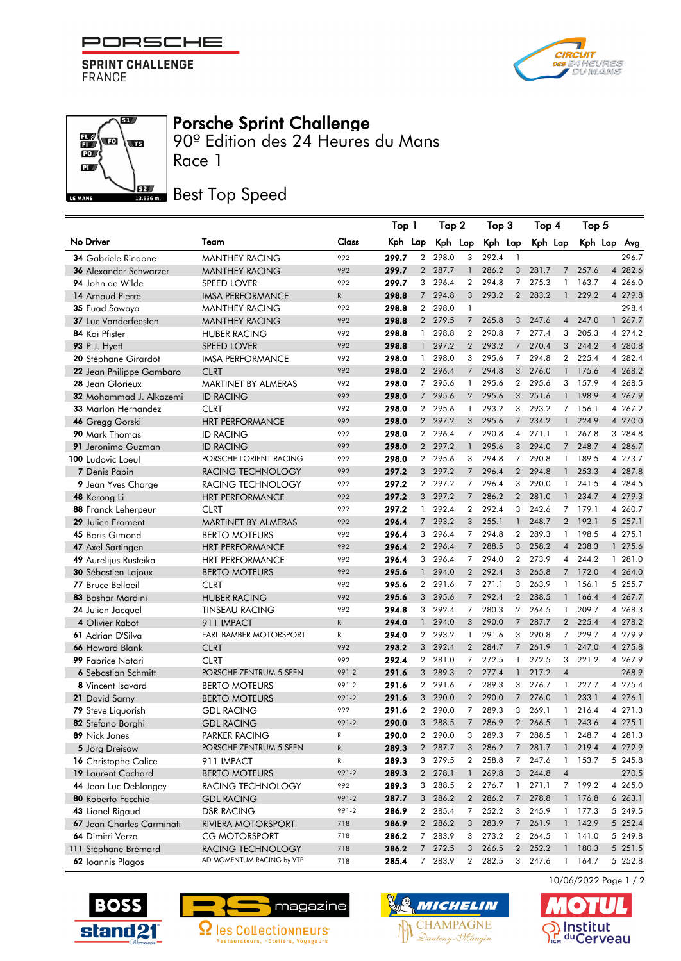

**SPRINT CHALLENGE**<br>FRANCE

 $\overline{\mathbf{g}}$ 

**STEP** 

 $\mathbb{E}\left( \mathbb{E}\right)$ 

 $\overline{PQ}$  $\mathbf{a}$ 

LE MANS



## Porsche Sprint Challenge

Race 1 90º Edition des 24 Heures du Mans

## **JEZ Best Top Speed**

|                                           |                                                |            | Top 1          |                | Top 2            |                 | Top 3          |                | Top 4            |                | Top 5            |  |                    |
|-------------------------------------------|------------------------------------------------|------------|----------------|----------------|------------------|-----------------|----------------|----------------|------------------|----------------|------------------|--|--------------------|
| No Driver                                 | Team                                           | Class      | Kph Lap        |                | Kph Lap          |                 | Kph Lap        |                | Kph Lap          |                | Kph Lap          |  | Avg                |
| <b>34 Gabriele Rindone</b>                | <b>MANTHEY RACING</b>                          | 992        | 299.7          | $\overline{2}$ | 298.0            | 3               | 292.4          | 1              |                  |                |                  |  | 296.7              |
| 36 Alexander Schwarzer                    | <b>MANTHEY RACING</b>                          | 992        | 299.7          |                | 2 287.7          | $\mathbf{1}$    | 286.2          | 3 <sup>1</sup> | 281.7            |                | 7 257.6          |  | 4 282.6            |
| 94 John de Wilde                          | <b>SPEED LOVER</b>                             | 992        | 299.7          | 3              | 296.4            | $\overline{2}$  | 294.8          | $\overline{7}$ | 275.3            | $\mathbf{1}$   | 163.7            |  | 4 266.0            |
| 14 Arnaud Pierre                          | <b>IMSA PERFORMANCE</b>                        | ${\sf R}$  | 298.8          | $7^{\circ}$    | 294.8            | 3               | 293.2          | $2^{\circ}$    | 283.2            | $\mathbf{1}$   | 229.2            |  | 4 279.8            |
| <b>35 Fuad Sawaya</b>                     | <b>MANTHEY RACING</b>                          | 992        | 298.8          | $\overline{2}$ | 298.0            | $\mathbf{1}$    |                |                |                  |                |                  |  | 298.4              |
| <b>37 Luc Vanderfeesten</b>               | <b>MANTHEY RACING</b>                          | 992        | 298.8          |                | 2 279.5          | $\overline{7}$  | 265.8          | 3 <sup>1</sup> | 247.6            | $\overline{4}$ | 247.0            |  | 1 267.7            |
| 84 Kai Pfister                            | <b>HUBER RACING</b>                            | 992        | 298.8          | $\mathbf{1}$   | 298.8            | $\overline{2}$  | 290.8          |                | 7 277.4          | 3              | 205.3            |  | 4 274.2            |
| 93 P.J. Hyett                             | <b>SPEED LOVER</b>                             | 992        | 298.8          | $\mathbf{1}$   | 297.2            | $\overline{2}$  | 293.2          |                | 7 270.4          | 3              | 244.2            |  | 4 280.8            |
| 20 Stéphane Girardot                      | <b>IMSA PERFORMANCE</b>                        | 992        | 298.0          | $\mathbf{1}$   | 298.0            | 3               | 295.6          | $\overline{7}$ | 294.8            | $\mathbf{2}$   | 225.4            |  | 4 282.4            |
| 22 Jean Philippe Gambaro                  | <b>CLRT</b>                                    | 992        | 298.0          | $\overline{2}$ | 296.4            | $7\overline{ }$ | 294.8          | 3              | 276.0            | $\mathbf{1}$   | 175.6            |  | 4 268.2            |
| 28 Jean Glorieux                          | MARTINET BY ALMERAS                            | 992        | 298.0          | $7^{\circ}$    | 295.6            | $\mathbf{1}$    | 295.6          | 2              | 295.6            | 3              | 157.9            |  | 4 268.5            |
| 32 Mohammad J. Alkazemi                   | <b>ID RACING</b>                               | 992        | 298.0          |                | 7 295.6          | $\overline{2}$  | 295.6          | 3 <sup>1</sup> | 251.6            |                | 1 198.9          |  | 4 267.9            |
| 33 Marlon Hernandez                       | <b>CLRT</b>                                    | 992        | 298.0          |                | 2 295.6          | $\mathbf{1}$    | 293.2          | 3              | 293.2            |                | 7 156.1          |  | 4 267.2            |
| 46 Gregg Gorski                           | <b>HRT PERFORMANCE</b>                         | 992        | 298.0          |                | 2 297.2          | 3               | 295.6          | $7^{\circ}$    | 234.2            | $\mathbf{1}$   | 224.9            |  | 4 270.0            |
| <b>90</b> Mark Thomas                     | <b>ID RACING</b>                               | 992        | 298.0          |                | 2 296.4          | $\overline{7}$  | 290.8          | $\overline{4}$ | 271.1            | $\mathbf{1}$   | 267.8            |  | 3 284.8            |
| 91 Jeronimo Guzman                        | <b>ID RACING</b>                               | 992        | 298.0          | $\overline{2}$ | 297.2            | $\mathbf{1}$    | 295.6          | 3              | 294.0            | $7^{\circ}$    | 248.7            |  | 4 286.7            |
| 100 Ludovic Loeul                         | PORSCHE LORIENT RACING                         | 992        | 298.0          | $\overline{2}$ | 295.6            | 3               | 294.8          | $\overline{7}$ | 290.8            | 1              | 189.5            |  | 4 273.7            |
| 7 Denis Papin                             | RACING TECHNOLOGY                              | 992        | 297.2          |                | 3 297.2          | $\overline{7}$  | 296.4          |                | 2 294.8          | $\mathbf{1}$   | 253.3            |  | 4 287.8            |
| 9 Jean Yves Charge                        | RACING TECHNOLOGY                              | 992        | 297.2          |                | 2 297.2          | $\overline{7}$  | 296.4          | 3              | 290.0            | $\mathbf{1}$   | 241.5            |  | 4 284.5            |
| 48 Kerong Li                              | <b>HRT PERFORMANCE</b>                         | 992        | 297.2          |                | 3 297.2          | $7\overline{ }$ | 286.2          | $\overline{2}$ | 281.0            | $\mathbf{1}$   | 234.7            |  | 4 279.3            |
| 88 Franck Leherpeur                       | <b>CLRT</b>                                    | 992        | 297.2          | $\mathbf{1}$   | 292.4            | $\overline{2}$  | 292.4          | 3              | 242.6            | $7^{\circ}$    | 179.1            |  | 4 260.7            |
| 29 Julien Froment                         | MARTINET BY ALMERAS                            | 992        | 296.4          | $7^{\circ}$    | 293.2            | 3               | 255.1          | $\mathbf{1}$   | 248.7            | $2^{\circ}$    | 192.1            |  | 5 257.1            |
| 45 Boris Gimond                           | <b>BERTO MOTEURS</b>                           | 992        | 296.4          | 3              | 296.4            | $\overline{7}$  | 294.8          | 2              | 289.3            | 1              | 198.5            |  | 4 275.1            |
| 47 Axel Sartingen                         | <b>HRT PERFORMANCE</b>                         | 992        | 296.4          |                | 2 296.4          | $\overline{7}$  | 288.5          | 3 <sup>1</sup> | 258.2            |                | 4 238.3          |  | 1 275.6            |
| 49 Aurelijus Rusteika                     | <b>HRT PERFORMANCE</b>                         | 992        | 296.4          | 3              | 296.4            | $\overline{7}$  | 294.0          |                | 2 273.9          | 4              | 244.2            |  | 1 281.0            |
| <b>30</b> Sébastien Lajoux                | <b>BERTO MOTEURS</b>                           | 992        | 295.6          | $\mathbf{1}$   | 294.0            | $\overline{2}$  | 292.4          | 3              | 265.8            |                | 7 172.0          |  | 4 264.0            |
| 77 Bruce Belloeil                         | <b>CLRT</b>                                    | 992        | 295.6          |                | 2 291.6          | $\overline{7}$  | 271.1          | 3              | 263.9            | $\mathbf{1}$   | 156.1            |  | 5 255.7            |
| 83 Bashar Mardini                         | <b>HUBER RACING</b>                            | 992        | 295.6          | 3 <sup>1</sup> | 295.6            | $\overline{7}$  | 292.4          | $\overline{2}$ | 288.5            | $\mathbf{1}$   | 166.4            |  | 4 267.7            |
| 24 Julien Jacquel                         | <b>TINSEAU RACING</b>                          | 992        | 294.8          | 3              | 292.4            | $\overline{7}$  | 280.3          | 2              | 264.5            | $\mathbf{1}$   | 209.7            |  | 4 268.3            |
| 4 Olivier Rabot                           | 911 IMPACT                                     | ${\sf R}$  | 294.0          | $\mathbf{1}$   | 294.0            | 3               | 290.0          | 7 <sup>7</sup> | 287.7            |                | 2 225.4          |  | 4 278.2            |
| 61 Adrian D'Silva                         | <b>EARL BAMBER MOTORSPORT</b>                  | R          | 294.0          |                | 2 293.2          | $\mathbf{1}$    | 291.6          | 3              | 290.8            |                | 7 229.7          |  | 4 279.9            |
| 66 Howard Blank                           | <b>CLRT</b>                                    | 992        | 293.2          |                | 3 292.4          | $\overline{2}$  | 284.7          | 7 <sup>7</sup> | 261.9            | $\mathbf{1}$   | 247.0            |  | 4 275.8            |
| 99 Fabrice Notari                         | <b>CLRT</b>                                    | 992        | 292.4          | $\overline{2}$ | 281.0            | 7               | 272.5          | $\mathbf{1}$   | 272.5            | 3              | 221.2            |  | 4 267.9            |
| 6 Sebastian Schmitt                       | PORSCHE ZENTRUM 5 SEEN                         | 991-2      | 291.6          | 3              | 289.3            | $\overline{2}$  | 277.4          | $\mathbf{1}$   | 217.2            | $\overline{4}$ |                  |  | 268.9              |
| 8 Vincent Isavard                         | <b>BERTO MOTEURS</b>                           | 991-2      | 291.6          | $\mathbf{2}$   | 291.6            | 7               | 289.3          | 3              | 276.7            | 1              | 227.7            |  | 4 275.4            |
| 21 David Sarny                            | <b>BERTO MOTEURS</b>                           | 991-2      | 291.6          |                | 3 290.0          | $\overline{2}$  | 290.0          | 7 <sup>7</sup> | 276.0            | $\mathbf{1}$   | 233.1            |  | 4 276.1            |
| 79 Steve Liquorish                        | <b>GDL RACING</b>                              | 992        | 291.6          | $\overline{2}$ | 290.0            | $\overline{7}$  | 289.3          | 3              | 269.1            | $\mathbf{1}$   | 216.4            |  | 4 271.3            |
| 82 Stefano Borghi                         | <b>GDL RACING</b>                              | 991-2      | 290.0          |                | 3 288.5          | $\overline{7}$  | 286.9          |                | 2 266.5          | $\mathbf{1}$   | 243.6            |  | 4 275.1            |
| 89 Nick Jones                             | PARKER RACING                                  | R          | 290.0          | $\overline{2}$ | 290.0            | 3               | 289.3          | 7              | 288.5            | $\mathbf{1}$   | 248.7            |  | 4 281.3            |
| 5 Jörg Dreisow                            | PORSCHE ZENTRUM 5 SEEN                         | ${\sf R}$  | 289.3          |                | 2 287.7          | 3               | 286.2          | $\overline{7}$ | 281.7            | $\mathbf{1}$   | 219.4            |  | 4 272.9            |
| 16 Christophe Calice                      | 911 IMPACT                                     | R          | 289.3          |                | 3 279.5          | $\overline{2}$  | 258.8          | 7              | 247.6            | $\mathbf{1}$   | 153.7            |  | 5 245.8            |
| 19 Laurent Cochard                        | <b>BERTO MOTEURS</b>                           | 991-2      | 289.3          |                | 2 278.1          | $\mathbf{1}$    | 269.8          |                | 3 244.8          | $\sqrt{4}$     |                  |  | 270.5              |
| 44 Jean Luc Deblangey                     | RACING TECHNOLOGY                              | 992        | 289.3          |                | 3 288.5          | $\mathbf{2}$    | 276.7          |                | 1 271.1          |                | 7 199.2          |  | 4 265.0            |
| 80 Roberto Fecchio                        | <b>GDL RACING</b>                              | 991-2      | 287.7          |                | 3 286.2          | $\overline{2}$  | 286.2          |                | 7 278.8          |                | 1 176.8          |  | 6 263.1            |
| 43 Lionel Rigaud                          | <b>DSR RACING</b>                              | 991-2      | 286.9          |                | 2 285.4          | 7               | 252.2<br>283.9 |                | 3 245.9          |                | 1 177.3          |  | 5 249.5            |
| 67 Jean Charles Carminati                 | RIVIERA MOTORSPORT                             | 718        | 286.9          |                | 2 286.2          | 3               |                |                | 7 261.9          |                | 11142.9          |  | 5 252.4            |
| 64 Dimitri Verza                          | <b>CG MOTORSPORT</b>                           | 718<br>718 | 286.2<br>286.2 | $7^{\circ}$    | 283.9<br>7 272.5 | 3<br>3          | 273.2<br>266.5 | $\mathbf{2}$   | 264.5<br>2 252.2 | $\mathbf{1}$   | 141.0<br>1 180.3 |  | 5 249.8<br>5 251.5 |
| 111 Stéphane Brémard<br>62 Ioannis Plagos | RACING TECHNOLOGY<br>AD MOMENTUM RACING by VTP | 718        | 285.4          |                | 7 283.9          | $\overline{2}$  | 282.5          |                | 3 247.6          |                | $1 \t164.7$      |  | 5 252.8            |
|                                           |                                                |            |                |                |                  |                 |                |                |                  |                |                  |  |                    |